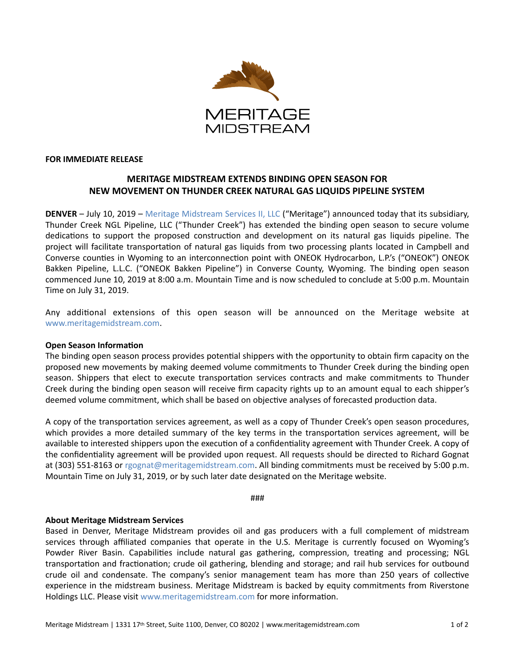

#### **FOR IMMEDIATE RELEASE**

# **MERITAGE MIDSTREAM EXTENDS BINDING OPEN SEASON FOR NEW MOVEMENT ON THUNDER CREEK NATURAL GAS LIQUIDS PIPELINE SYSTEM**

**DENVER** – July 10, 2019 – Meritage Midstream Services II, LLC ("Meritage") announced today that its subsidiary, Thunder Creek NGL Pipeline, LLC ("Thunder Creek") has extended the binding open season to secure volume dedications to support the proposed construction and development on its natural gas liquids pipeline. The project will facilitate transportation of natural gas liquids from two processing plants located in Campbell and Converse counties in Wyoming to an interconnection point with ONEOK Hydrocarbon, L.P.'s ("ONEOK") ONEOK Bakken Pipeline, L.L.C. ("ONEOK Bakken Pipeline") in Converse County, Wyoming. The binding open season commenced June 10, 2019 at 8:00 a.m. Mountain Time and is now scheduled to conclude at 5:00 p.m. Mountain Time on July 31, 2019.

Any additional extensions of this open season will be announced on the Meritage website at [www.meritagemidstream.com.](https://www.meritagemidstream.com/) 

## **Open Season Information**

The binding open season process provides potential shippers with the opportunity to obtain firm capacity on the proposed new movements by making deemed volume commitments to Thunder Creek during the binding open season. Shippers that elect to execute transportation services contracts and make commitments to Thunder Creek during the binding open season will receive firm capacity rights up to an amount equal to each shipper's deemed volume commitment, which shall be based on objective analyses of forecasted production data.

A copy of the transportation services agreement, as well as a copy of Thunder Creek's open season procedures, which provides a more detailed summary of the key terms in the transportation services agreement, will be available to interested shippers upon the execution of a confidentiality agreement with Thunder Creek. A copy of the confidentiality agreement will be provided upon request. All requests should be directed to Richard Gognat at (303) 551-8163 or [rgognat@meritagemidstream.com.](mailto:rgognat@meritagemidstream.com) All binding commitments must be received by 5:00 p.m. Mountain Time on July 31, 2019, or by such later date designated on the Meritage website.

### 

## **About Meritage Midstream Services**

Based in Denver, Meritage Midstream provides oil and gas producers with a full complement of midstream services through affiliated companies that operate in the U.S. Meritage is currently focused on Wyoming's Powder River Basin. Capabilities include natural gas gathering, compression, treating and processing; NGL transportation and fractionation; crude oil gathering, blending and storage; and rail hub services for outbound crude oil and condensate. The company's senior management team has more than 250 years of collective experience in the midstream business. Meritage Midstream is backed by equity commitments from Riverstone Holdings LLC. Please visit www.meritagemidstream.com for more information.